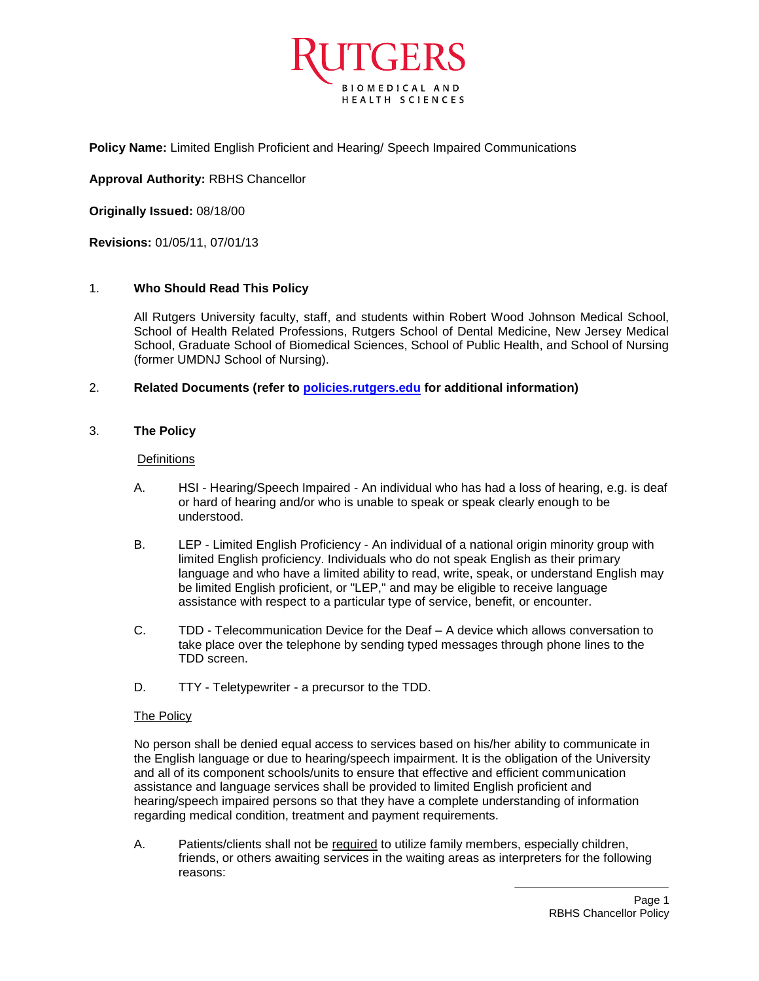

**Policy Name:** Limited English Proficient and Hearing/ Speech Impaired Communications

**Approval Authority:** RBHS Chancellor

**Originally Issued:** 08/18/00

**Revisions:** 01/05/11, 07/01/13

## 1. **Who Should Read This Policy**

All Rutgers University faculty, staff, and students within Robert Wood Johnson Medical School, School of Health Related Professions, Rutgers School of Dental Medicine, New Jersey Medical School, Graduate School of Biomedical Sciences, School of Public Health, and School of Nursing (former UMDNJ School of Nursing).

## 2. **Related Documents (refer to [policies.rutgers.edu](file:///C:/Users/pkularatne001/AppData/Local/Temp/notesF3B52A/policies.rutgers.edu) for additional information)**

## 3. **The Policy**

#### **Definitions**

- A. HSI Hearing/Speech Impaired An individual who has had a loss of hearing, e.g. is deaf or hard of hearing and/or who is unable to speak or speak clearly enough to be understood.
- B. LEP Limited English Proficiency An individual of a national origin minority group with limited English proficiency. Individuals who do not speak English as their primary language and who have a limited ability to read, write, speak, or understand English may be limited English proficient, or "LEP," and may be eligible to receive language assistance with respect to a particular type of service, benefit, or encounter.
- C. TDD Telecommunication Device for the Deaf A device which allows conversation to take place over the telephone by sending typed messages through phone lines to the TDD screen.
- D. TTY Teletypewriter a precursor to the TDD.

#### The Policy

No person shall be denied equal access to services based on his/her ability to communicate in the English language or due to hearing/speech impairment. It is the obligation of the University and all of its component schools/units to ensure that effective and efficient communication assistance and language services shall be provided to limited English proficient and hearing/speech impaired persons so that they have a complete understanding of information regarding medical condition, treatment and payment requirements.

A. Patients/clients shall not be required to utilize family members, especially children, friends, or others awaiting services in the waiting areas as interpreters for the following reasons: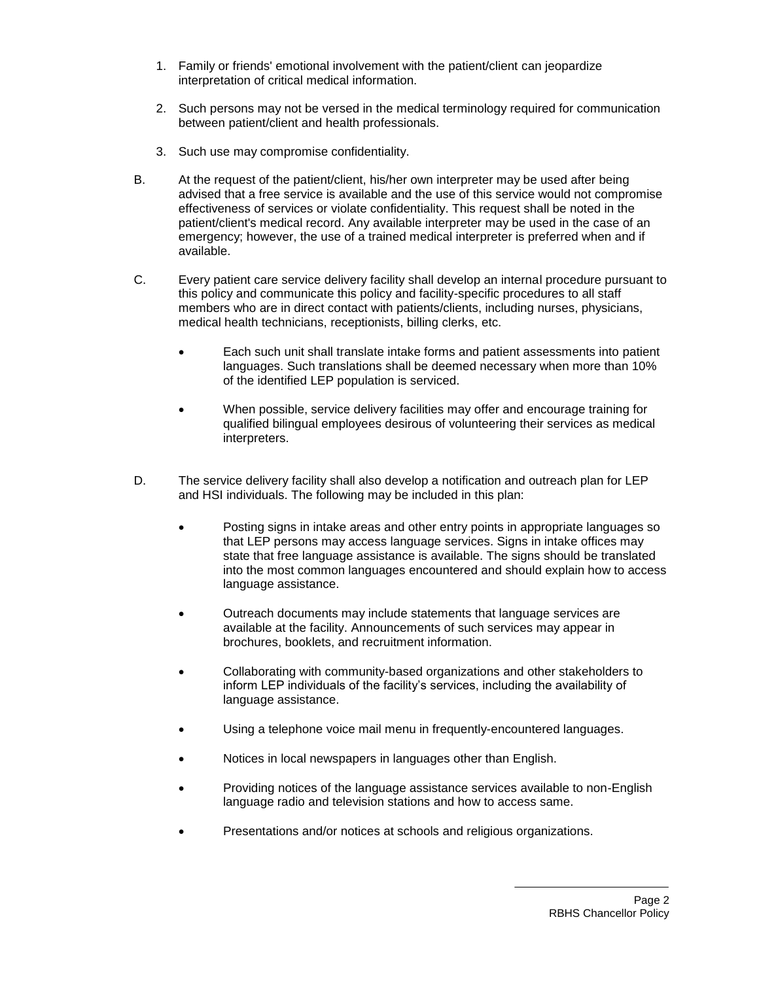- 1. Family or friends' emotional involvement with the patient/client can jeopardize interpretation of critical medical information.
- 2. Such persons may not be versed in the medical terminology required for communication between patient/client and health professionals.
- 3. Such use may compromise confidentiality.
- B. At the request of the patient/client, his/her own interpreter may be used after being advised that a free service is available and the use of this service would not compromise effectiveness of services or violate confidentiality. This request shall be noted in the patient/client's medical record. Any available interpreter may be used in the case of an emergency; however, the use of a trained medical interpreter is preferred when and if available.
- C. Every patient care service delivery facility shall develop an internal procedure pursuant to this policy and communicate this policy and facility-specific procedures to all staff members who are in direct contact with patients/clients, including nurses, physicians, medical health technicians, receptionists, billing clerks, etc.
	- Each such unit shall translate intake forms and patient assessments into patient languages. Such translations shall be deemed necessary when more than 10% of the identified LEP population is serviced.
	- When possible, service delivery facilities may offer and encourage training for qualified bilingual employees desirous of volunteering their services as medical interpreters.
- D. The service delivery facility shall also develop a notification and outreach plan for LEP and HSI individuals. The following may be included in this plan:
	- Posting signs in intake areas and other entry points in appropriate languages so that LEP persons may access language services. Signs in intake offices may state that free language assistance is available. The signs should be translated into the most common languages encountered and should explain how to access language assistance.
	- Outreach documents may include statements that language services are available at the facility. Announcements of such services may appear in brochures, booklets, and recruitment information.
	- Collaborating with community-based organizations and other stakeholders to inform LEP individuals of the facility's services, including the availability of language assistance.
	- Using a telephone voice mail menu in frequently-encountered languages.
	- Notices in local newspapers in languages other than English.
	- Providing notices of the language assistance services available to non-English language radio and television stations and how to access same.
	- Presentations and/or notices at schools and religious organizations.